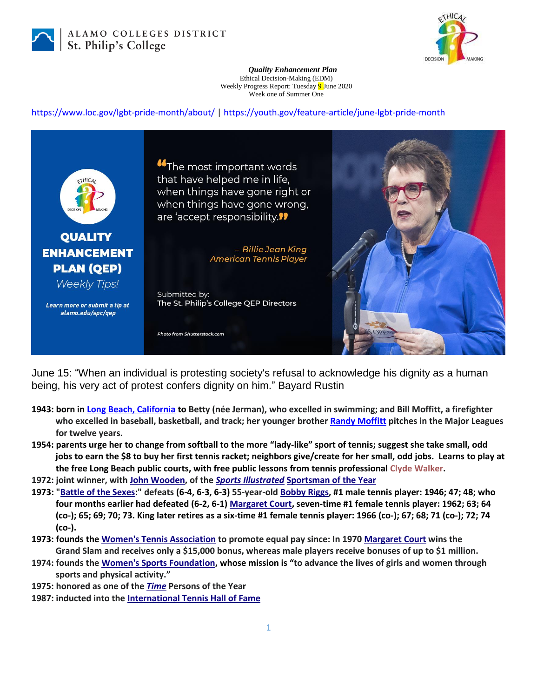

ALAMO COLLEGES DISTRICT St. Philip's College



*Quality Enhancement Plan* Ethical Decision-Making (EDM) Weekly Progress Report: Tuesday 9 June 2020 Week one of Summer One

<https://www.loc.gov/lgbt-pride-month/about/> |<https://youth.gov/feature-article/june-lgbt-pride-month>



June 15: "When an individual is protesting society's refusal to acknowledge his dignity as a human being, his very act of protest confers dignity on him." Bayard Rustin

- **1943: born in [Long Beach, California](https://en.wikipedia.org/wiki/Long_Beach,_California) to Betty (née Jerman), who excelled in swimming; and Bill Moffitt, a firefighter who excelled in baseball, basketball, and track; her younger brother [Randy Moffitt](https://en.wikipedia.org/wiki/Randy_Moffitt) pitches in the Major Leagues for twelve years.**
- **1954: parents urge her to change from softball to the more "lady-like" sport of tennis; suggest she take small, odd jobs to earn the \$8 to buy her first tennis racket; neighbors give/create for her small, odd jobs. Learns to play at the free Long Beach public courts, with free public lessons from tennis professional [Clyde Walker.](https://en.wikipedia.org/w/index.php?title=Clyde_Walker&action=edit&redlink=1)**
- **1972: joint winner, with [John Wooden,](https://en.wikipedia.org/wiki/John_Wooden) of the** *[Sports Illustrated](https://en.wikipedia.org/wiki/Sports_Illustrated)* **[Sportsman of the Year](https://en.wikipedia.org/wiki/Sportsman_of_the_Year)**
- **1973: ["Battle of the Sexes:](https://en.wikipedia.org/wiki/Battle_of_the_Sexes_(tennis))" defeats (6-4, 6-3, 6-3) 55-year-old [Bobby Riggs,](https://en.wikipedia.org/wiki/Bobby_Riggs) #1 male tennis player: 1946; 47; 48; who four months earlier had defeated (6-2, 6-1) [Margaret Court,](https://en.wikipedia.org/wiki/Margaret_Court) seven-time #1 female tennis player: 1962; 63; 64 (co-); 65; 69; 70; 73. King later retires as a six-time #1 female tennis player: 1966 (co-); 67; 68; 71 (co-); 72; 74 (co-).**
- **1973: founds the [Women's Tennis Association](https://en.wikipedia.org/wiki/Women%27s_Tennis_Association) to promote equal pay since: In 1970 [Margaret Court](https://en.wikipedia.org/wiki/Margaret_Court) wins the Grand Slam and receives only a \$15,000 bonus, whereas male players receive bonuses of up to \$1 million.**
- **1974: founds the [Women's Sports Foundation,](https://en.wikipedia.org/wiki/Women%27s_Sports_Foundation) whose mission is "to advance the lives of girls and women through sports and physical activity."**
- **1975: honored as one of the** *[Time](https://en.wikipedia.org/wiki/Time_(magazine))* **Persons of the Year**
- **1987: inducted into the [International Tennis Hall of Fame](https://en.wikipedia.org/wiki/International_Tennis_Hall_of_Fame)**